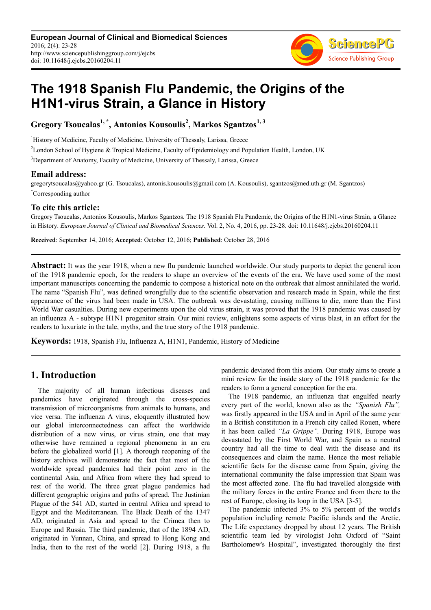**European Journal of Clinical and Biomedical Sciences** 2016; 2(4): 23-28 http://www.sciencepublishinggroup.com/j/ejcbs doi: 10.11648/j.ejcbs.20160204.11



# **The 1918 Spanish Flu Pandemic, the Origins of the H1N1-virus Strain, a Glance in History**

**Gregory Tsoucalas1, \*, Antonios Kousoulis<sup>2</sup> , Markos Sgantzos1, 3**

<sup>1</sup>History of Medicine, Faculty of Medicine, University of Thessaly, Larissa, Greece

<sup>2</sup>London School of Hygiene & Tropical Medicine, Faculty of Epidemiology and Population Health, London, UK

<sup>3</sup>Department of Anatomy, Faculty of Medicine, University of Thessaly, Larissa, Greece

#### **Email address:**

gregorytsoucalas@yahoo.gr (G. Tsoucalas), antonis.kousoulis@gmail.com (A. Kousoulis), sgantzos@med.uth.gr (M. Sgantzos) \*Corresponding author

#### **To cite this article:**

Gregory Tsoucalas, Antonios Kousoulis, Markos Sgantzos. The 1918 Spanish Flu Pandemic, the Origins of the H1N1-virus Strain, a Glance in History. *European Journal of Clinical and Biomedical Sciences.* Vol. 2, No. 4, 2016, pp. 23-28. doi: 10.11648/j.ejcbs.20160204.11

**Received**: September 14, 2016; **Accepted**: October 12, 2016; **Published**: October 28, 2016

**Abstract:** It was the year 1918, when a new flu pandemic launched worldwide. Our study purports to depict the general icon of the 1918 pandemic epoch, for the readers to shape an overview of the events of the era. We have used some of the most important manuscripts concerning the pandemic to compose a historical note on the outbreak that almost annihilated the world. The name "Spanish Flu", was defined wrongfully due to the scientific observation and research made in Spain, while the first appearance of the virus had been made in USA. The outbreak was devastating, causing millions to die, more than the First World War casualties. During new experiments upon the old virus strain, it was proved that the 1918 pandemic was caused by an influenza A - subtype H1N1 progenitor strain. Our mini review, enlightens some aspects of virus blast, in an effort for the readers to luxuriate in the tale, myths, and the true story of the 1918 pandemic.

**Keywords:** 1918, Spanish Flu, Influenza A, H1N1, Pandemic, History of Medicine

## **1. Introduction**

The majority of all human infectious diseases and pandemics have originated through the cross-species transmission of microorganisms from animals to humans, and vice versa. The influenza A virus, eloquently illustrated how our global interconnectedness can affect the worldwide distribution of a new virus, or virus strain, one that may otherwise have remained a regional phenomena in an era before the globalized world [1]. A thorough reopening of the history archives will demonstrate the fact that most of the worldwide spread pandemics had their point zero in the continental Asia, and Africa from where they had spread to rest of the world. The three great plague pandemics had different geographic origins and paths of spread. The Justinian Plague of the 541 AD, started in central Africa and spread to Egypt and the Mediterranean. The Black Death of the 1347 AD, originated in Asia and spread to the Crimea then to Europe and Russia. The third pandemic, that of the 1894 AD, originated in Yunnan, China, and spread to Hong Kong and India, then to the rest of the world [2]. During 1918, a flu pandemic deviated from this axiom. Our study aims to create a mini review for the inside story of the 1918 pandemic for the readers to form a general conception for the era.

The 1918 pandemic, an influenza that engulfed nearly every part of the world, known also as the *"Spanish Flu",* was firstly appeared in the USA and in April of the same year in a British constitution in a French city called Rouen, where it has been called *"La Grippe".* During 1918, Europe was devastated by the First World War, and Spain as a neutral country had all the time to deal with the disease and its consequences and claim the name. Hence the most reliable scientific facts for the disease came from Spain, giving the international community the false impression that Spain was the most affected zone. The flu had travelled alongside with the military forces in the entire France and from there to the rest of Europe, closing its loop in the USA [3-5].

The pandemic infected 3% to 5% percent of the world's population including remote Pacific islands and the Arctic. The Life expectancy dropped by about 12 years. The British scientific team led by virologist John Oxford of "Saint Bartholomew's Hospital", investigated thoroughly the first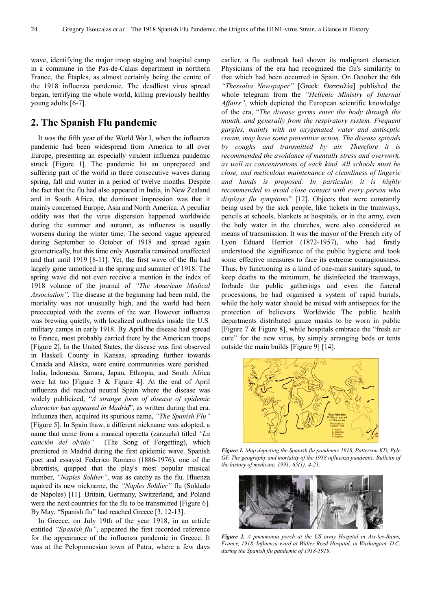wave, identifying the major troop staging and hospital camp in a commune in the Pas-de-Calais department in northern France, the Étaples, as almost certainly being the centre of the 1918 influenza pandemic. The deadliest virus spread began, terrifying the whole world, killing previously healthy young adults [6-7].

## **2. The Spanish Flu pandemic**

It was the fifth year of the World War I, when the influenza pandemic had been widespread from America to all over Europe, presenting an especially virulent influenza pandemic struck [Figure 1]. The pandemic hit an unprepared and suffering part of the world in three consecutive waves during spring, fall and winter in a period of twelve months. Despite the fact that the flu had also appeared in India, in New Zealand and in South Africa, the dominant impression was that it mainly concerned Europe, Asia and North America. A peculiar oddity was that the virus dispersion happened worldwide during the summer and autumn, as influenza is usually worsens during the winter time. The second vague appeared during September to October of 1918 and spread again geometrically, but this time only Australia remained unaffected and that until 1919 [8-11]. Yet, the first wave of the flu had largely gone unnoticed in the spring and summer of 1918. The spring wave did not even receive a mention in the index of 1918 volume of the journal of *"The American Medical Association"*. The disease at the beginning had been mild, the mortality was not unusually high, and the world had been preoccupied with the events of the war. However influenza was brewing quietly, with localized outbreaks inside the U.S. military camps in early 1918. By April the disease had spread to France, most probably carried there by the American troops [Figure 2]. In the United States, the disease was first observed in Haskell County in Kansas, spreading further towards Canada and Alaska, were entire communities were perished. India, Indonesia, Samoa, Japan, Ethiopia, and South Africa were hit too [Figure 3 & Figure 4]. At the end of April influenza did reached neutral Spain where the disease was widely publicized, "*A strange form of disease of epidemic character has appeared in Madrid*", as written during that era. Influenza then, acquired its spurious name, *"The Spanish Flu"* [Figure 5]. In Spain thaw, a different nickname was adopted, a name that came from a musical operetta (zarzuela) titled *"La canción del olvido"* (The Song of Forgetting), which premiered in Madrid during the first epidemic wave. Spanish poet and essayist Federico Romero (1886-1976), one of the librettists, quipped that the play's most popular musical number, *"Naples Soldier"*, was as catchy as the flu. Ifluenza aquired its new nickname, the *"Naples Soldier"* flu (Soldado de Nápoles) [11]. Britain, Germany, Switzerland, and Poland were the next countries for the flu to be transmitted [Figure 6]. By May, "Spanish flu" had reached Greece [3, 12-13].

In Greece, on July 19th of the year 1918, in an article entitled *"Spanish flu"*, appeared the first recorded reference for the appearance of the influenza pandemic in Greece. It was at the Peloponnesian town of Patra, where a few days

earlier, a flu outbreak had shown its malignant character. Physicians of the era had recognized the flu's similarity to that which had been occurred in Spain. On October the 6th *"Thessalia Newspaper"* [Greek: Θεσσαλία] published the whole telegram from the *"Hellenic Ministry of Internal Affairs"*, which depicted the European scientific knowledge of the era, "*The disease germs enter the body through the mouth, and generally from the respiratory system. Frequent gargles, mainly with an oxygenated water and antiseptic cream, may have some preventive action. The disease spreads by coughs and transmitted by air. Therefore it is recommended the avoidance of mentally stress and overwork, as well as concentrations of each kind. All schools must be close, and meticulous maintenance of cleanliness of lingerie and hands is proposed. In particular, it is highly recommended to avoid close contact with every person who displays flu symptoms*" [12]. Objects that were constantly being used by the sick people, like tickets in the tramways, pencils at schools, blankets at hospitals, or in the army, even the holy water in the churches, were also considered as means of transmission. It was the mayor of the French city of Lyon Eduard Herriot (1872-1957), who had firstly understood the significance of the public hygiene and took some effective measures to face its extreme contagiousness. Thus, by functioning as a kind of one-man sanitary squad, to keep deaths to the minimum, he disinfected the tramways, forbade the public gatherings and even the funeral processions, he had organised a system of rapid burials, while the holy water should be mixed with antiseptics for the protection of believers. Worldwide The public health departments distributed gauze masks to be worn in public [Figure 7 & Figure 8], while hospitals embrace the "fresh air cure" for the new virus, by simply arranging beds or tents outside the main builds [Figure 9] [14].



*Figure 1. Map depicting the Spanish flu pandemic 1918, Patterson KD, Pyle GF. The geography and mortality of the 1918 influenza pandemic. Bulletin of the history of medicine, 1991; 65(1): 4-21.* 



*Figure 2. A pneumonia porch at the US army Hospital in Aix-les-Bains, France, 1918. Influenza ward at Walter Reed Hospital, in Washington, D.C. during the Spanish flu pandemic of 1918-1919.*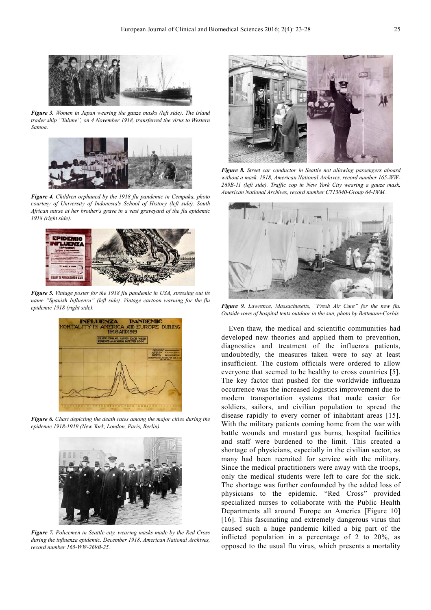

*Figure 3. Women in Japan wearing the gauze masks (left side). The island trader ship "Talune", on 4 November 1918, transferred the virus to Western Samoa.* 



*Figure 4. Children orphaned by the 1918 flu pandemic in Cempaka, photo courtesy of University of Indonesia's School of History (left side). South African nurse at her brother's grave in a vast graveyard of the flu epidemic 1918 (right side).* 



*Figure 5. Vintage poster for the 1918 flu pandemic in USA, stressing out its name "Spanish Influenza" (left side). Vintage cartoon warning for the flu epidemic 1918 (right side).* 



*Figure 6. Chart depicting the death rates among the major cities during the epidemic 1918-1919 (New York, London, Paris, Berlin).* 



*Figure 7. Policemen in Seattle city, wearing masks made by the Red Cross during the influenza epidemic. December 1918, American National Archives, record number 165-WW-269B-25.* 



*Figure 8. Street car conductor in Seattle not allowing passengers aboard without a mask. 1918, American National Archives, record number 165-WW-269B-11 (left side). Traffic cop in New York City wearing a gauze mask, American National Archives, record number C713040-Group 64-IWM.* 



*Figure 9. Lawrence, Massachusetts, "Fresh Air Cure" for the new flu. Outside rows of hospital tents outdoor in the sun, photo by Bettmann-Corbis.* 

Even thaw, the medical and scientific communities had developed new theories and applied them to prevention, diagnostics and treatment of the influenza patients, undoubtedly, the measures taken were to say at least insufficient. The custom officials were ordered to allow everyone that seemed to be healthy to cross countries [5]. The key factor that pushed for the worldwide influenza occurrence was the increased logistics improvement due to modern transportation systems that made easier for soldiers, sailors, and civilian population to spread the disease rapidly to every corner of inhabitant areas [15]. With the military patients coming home from the war with battle wounds and mustard gas burns, hospital facilities and staff were burdened to the limit. This created a shortage of physicians, especially in the civilian sector, as many had been recruited for service with the military. Since the medical practitioners were away with the troops, only the medical students were left to care for the sick. The shortage was further confounded by the added loss of physicians to the epidemic. "Red Cross" provided specialized nurses to collaborate with the Public Health Departments all around Europe an America [Figure 10] [16]. This fascinating and extremely dangerous virus that caused such a huge pandemic killed a big part of the inflicted population in a percentage of 2 to 20%, as opposed to the usual flu virus, which presents a mortality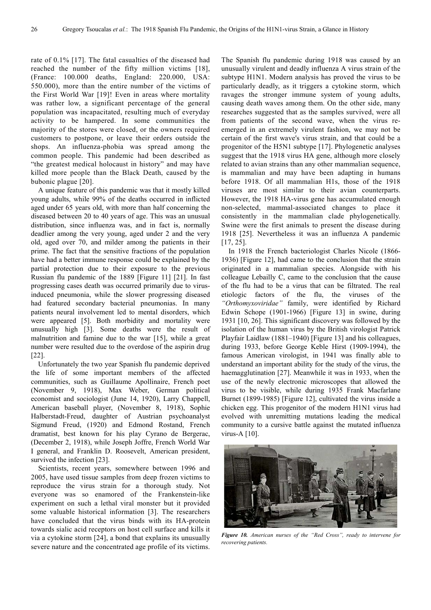rate of 0.1% [17]. The fatal casualties of the diseased had reached the number of the fifty million victims [18], (France: 100.000 deaths, England: 220.000, USA: 550.000), more than the entire number of the victims of the First World War [19]! Even in areas where mortality was rather low, a significant percentage of the general population was incapacitated, resulting much of everyday activity to be hampered. In some communities the majority of the stores were closed, or the owners required customers to postpone, or leave their orders outside the shops. An influenza-phobia was spread among the common people. This pandemic had been described as "the greatest medical holocaust in history" and may have killed more people than the Black Death, caused by the bubonic plague [20].

A unique feature of this pandemic was that it mostly killed young adults, while 99% of the deaths occurred in inflicted aged under 65 years old, with more than half concerning the diseased between 20 to 40 years of age. This was an unusual distribution, since influenza was, and in fact is, normally deadlier among the very young, aged under 2 and the very old, aged over 70, and milder among the patients in their prime. The fact that the sensitive fractions of the population have had a better immune response could be explained by the partial protection due to their exposure to the previous Russian flu pandemic of the 1889 [Figure 11] [21]. In fast progressing cases death was occurred primarily due to virusinduced pneumonia, while the slower progressing diseased had featured secondary bacterial pneumonias. In many patients neural involvement led to mental disorders, which were appeared [5]. Both morbidity and mortality were unusually high [3]. Some deaths were the result of malnutrition and famine due to the war [15], while a great number were resulted due to the overdose of the aspirin drug [22].

Unfortunately the two year Spanish flu pandemic deprived the life of some important members of the affected communities, such as Guillaume Apollinaire, French poet (November 9, 1918), Max Weber, German political economist and sociologist (June 14, 1920), Larry Chappell, American baseball player, (November 8, 1918), Sophie Halberstadt-Freud, daughter of Austrian psychoanalyst Sigmund Freud, (1920) and Edmond Rostand, French dramatist, best known for his play Cyrano de Bergerac, (December 2, 1918), while Joseph Joffre, French World War I general, and Franklin D. Roosevelt, American president, survived the infection [23].

Scientists, recent years, somewhere between 1996 and 2005, have used tissue samples from deep frozen victims to reproduce the virus strain for a thorough study. Not everyone was so enamored of the Frankenstein-like experiment on such a lethal viral monster but it provided some valuable historical information [3]. The researchers have concluded that the virus binds with its HA-protein towards sialic acid receptors on host cell surface and kills it via a cytokine storm [24], a bond that explains its unusually severe nature and the concentrated age profile of its victims. The Spanish flu pandemic during 1918 was caused by an unusually virulent and deadly influenza A virus strain of the subtype H1N1. Modern analysis has proved the virus to be particularly deadly, as it triggers a cytokine storm, which ravages the stronger immune system of young adults, causing death waves among them. On the other side, many researches suggested that as the samples survived, were all from patients of the second wave, when the virus reemerged in an extremely virulent fashion, we may not be certain of the first wave's virus strain, and that could be a progenitor of the H5N1 subtype [17]. Phylogenetic analyses suggest that the 1918 virus HA gene, although more closely related to avian strains than any other mammalian sequence, is mammalian and may have been adapting in humans before 1918. Of all mammalian H1s, those of the 1918 viruses are most similar to their avian counterparts. However, the 1918 HA-virus gene has accumulated enough non-selected, mammal-associated changes to place it consistently in the mammalian clade phylogenetically. Swine were the first animals to present the disease during 1918 [25]. Nevertheless it was an influenza A pandemic [17, 25].

In 1918 the French bacteriologist Charles Nicole (1866- 1936) [Figure 12], had came to the conclusion that the strain originated in a mammalian species. Alongside with his colleague Lebailly C, came to the conclusion that the cause of the flu had to be a virus that can be filtrated. The real etiologic factors of the flu, the viruses of the *"Orthomyxoviridae"* family, were identified by Richard Edwin Schope (1901-1966) [Figure 13] in swine, during 1931 [10, 26]. This significant discovery was followed by the isolation of the human virus by the British virologist Patrick Playfair Laidlaw (1881–1940) [Figure 13] and his colleagues, during 1933, before George Keble Hirst (1909-1994), the famous American virologist, in 1941 was finally able to understand an important ability for the study of the virus, the haemagglutination [27]. Meanwhile it was in 1933, when the use of the newly electronic microscopes that allowed the virus to be visible, while during 1935 Frank Macfarlane Burnet (1899-1985) [Figure 12], cultivated the virus inside a chicken egg. This progenitor of the modern H1N1 virus had evolved with unremitting mutations leading the medical community to a cursive battle against the mutated influenza virus-A [10].



*Figure 10. American nurses of the "Red Cross", ready to intervene for recovering patients.*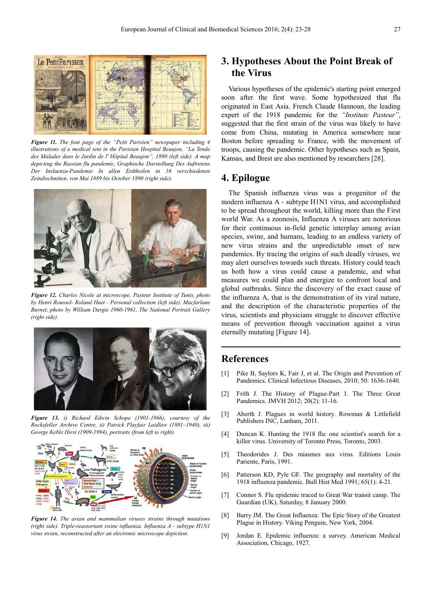

*Figure 11. The font page of the "Petit Parisien" newspaper including 4 illustrations of a medical tent in the Parisian Hospital Beaujon, "La Tende des Malades dans le Jardin de l' Hôpital Beaujon", 1890 (left side). A map depicting the Russian flu pandemic, Graphische Darstellung Des Auftretens Der Insluenza-Pandemie In allen Erdtheilen in 16 verschiedenen Zeitabschnitten, von Mai 1889 bis October 1890 (right side).* 



*Figure 12. Charles Nicole at microscope, Pasteur Institute of Tunis, photo by Henri Roussel- Roland Huet - Personal collection (left side). Macfarlane Burnet, photo by William Dargie 1960-1961, The National Portrait Gallery (right side).* 



*Figure 13. i) Richard Edwin Schope (1901-1966), courtesy of the Rockefeller Archive Centre, ii) Patrick Playfair Laidlaw (1881–1940), iii) George Keble Hirst (1909-1994), portraits (from left to right).* 



*Figure 14. The avian and mammalian viruses strains through mutations (right side). Triple-reassortant swine influenza, Influenza A - subtype H1N1 virus strain, reconstructed after an electronic microscope depiction.* 

## **3. Hypotheses About the Point Break of the Virus**

Various hypotheses of the epidemic's starting point emerged soon after the first wave. Some hypothesized that flu originated in East Asia. French Claude Hannoun, the leading expert of the 1918 pandemic for the *"Institute Pasteur"*, suggested that the first strain of the virus was likely to have come from China, mutating in America somewhere near Boston before spreading to France, with the movement of troops, causing the pandemic. Other hypotheses such as Spain, Kansas, and Brest are also mentioned by researchers [28].

#### **4. Epilogue**

The Spanish influenza virus was a progenitor of the modern influenza A - subtype H1N1 virus, and accomplished to be spread throughout the world, killing more than the First world War. As a zoonosis, Influenza A viruses are notorious for their continuous in-field genetic interplay among avian species, swine, and humans, leading to an endless variety of new virus strains and the unpredictable onset of new pandemics. By tracing the origins of such deadly viruses, we may alert ourselves towards such threats. History could teach us both how a virus could cause a pandemic, and what measures we could plan and energize to confront local and global outbreaks. Since the discovery of the exact cause of the influenza A, that is the demonstration of its viral nature, and the description of the characteristic properties of the virus, scientists and physicians struggle to discover effective means of prevention through vaccination against a virus eternally mutating [Figure 14].

#### **References**

- [1] Pike B, Saylors K, Fair J, et al. The Origin and Prevention of Pandemics. Clinical Infectious Diseases, 2010; 50: 1636-1640.
- [2] Frith J. The History of Plague-Part 1. The Three Great Pandemics. JMVH 2012; 20(2): 11-16.
- [3] Aberth J. Plagues in world history. Rowman & Littlefield Publishers INC, Lanham, 2011.
- [4] Duncan K. Hunting the 1918 flu: one scientist's search for a killer virus. University of Toronto Press, Toronto, 2003.
- [5] Theodorides J. Des miasmes aux virus. Editions Louis Pariente, Paris, 1991.
- [6] Patterson KD, Pyle GF. The geography and mortality of the 1918 influenza pandemic. Bull Hist Med 1991; 65(1): 4-21.
- [7] Connor S. Flu epidemic traced to Great War transit camp. The Guardian (UK), Saturday, 8 January 2000.
- [8] Barry JM. The Great Influenza: The Epic Story of the Greatest Plague in History. Viking Penguin, New York, 2004.
- [9] Jordan E. Epidemic influenza: a survey. American Medical Association, Chicago, 1927.